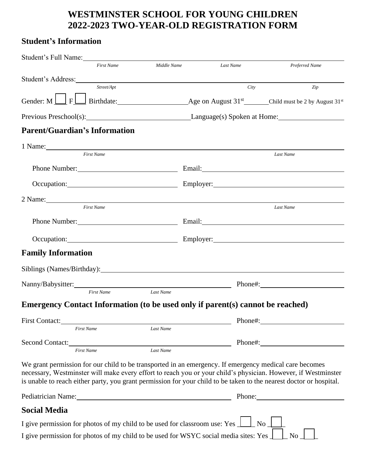## **WESTMINSTER SCHOOL FOR YOUNG CHILDREN 2022-2023 TWO-YEAR-OLD REGISTRATION FORM**

## **Student's Information**

| Student's Full Name:<br>Middle Name<br><b>First Name</b>                                                                                                                                                                                                                                                                                       |                                 |                    |
|------------------------------------------------------------------------------------------------------------------------------------------------------------------------------------------------------------------------------------------------------------------------------------------------------------------------------------------------|---------------------------------|--------------------|
|                                                                                                                                                                                                                                                                                                                                                | Last Name                       | Preferred Name     |
| Student's Address: Note that the state of the state of the state of the state of the state of the state of the state of the state of the state of the state of the state of the state of the state of the state of the state o<br>Street/Apt                                                                                                   |                                 | City<br>Zip        |
|                                                                                                                                                                                                                                                                                                                                                |                                 |                    |
| Previous Preschool(s): Language(s) Spoken at Home:                                                                                                                                                                                                                                                                                             |                                 |                    |
| <b>Parent/Guardian's Information</b>                                                                                                                                                                                                                                                                                                           |                                 |                    |
| 1 Name:                                                                                                                                                                                                                                                                                                                                        |                                 |                    |
| <b>First Name</b>                                                                                                                                                                                                                                                                                                                              |                                 | Last Name          |
|                                                                                                                                                                                                                                                                                                                                                |                                 |                    |
| Occupation: Employer: Employer:                                                                                                                                                                                                                                                                                                                |                                 |                    |
|                                                                                                                                                                                                                                                                                                                                                |                                 |                    |
| 2 Name: 2 Name and 2 Name and 2 Name and 2 Name and 2 Name and 2 Name and 2 Name and 2 Name and 2 Name and 2 Name and 2 Name and 2 Name and 2 Name and 2 Name and 2 Name and 2 Name and 2 Name and 2 Name and 2 Name and 2 Nam<br><b>First Name</b>                                                                                            |                                 | Last Name          |
|                                                                                                                                                                                                                                                                                                                                                |                                 |                    |
|                                                                                                                                                                                                                                                                                                                                                | Occupation: Employer: Employer: |                    |
| <b>Family Information</b>                                                                                                                                                                                                                                                                                                                      |                                 |                    |
|                                                                                                                                                                                                                                                                                                                                                |                                 |                    |
|                                                                                                                                                                                                                                                                                                                                                |                                 |                    |
| Last Name<br><b>First Name</b>                                                                                                                                                                                                                                                                                                                 |                                 |                    |
| Emergency Contact Information (to be used only if parent(s) cannot be reached)                                                                                                                                                                                                                                                                 |                                 |                    |
|                                                                                                                                                                                                                                                                                                                                                |                                 |                    |
| Last Name<br><b>First Name</b>                                                                                                                                                                                                                                                                                                                 |                                 |                    |
| Second Contact:<br>Last Name<br><b>First Name</b>                                                                                                                                                                                                                                                                                              | Phone#:                         |                    |
| We grant permission for our child to be transported in an emergency. If emergency medical care becomes<br>necessary, Westminster will make every effort to reach you or your child's physician. However, if Westminster<br>is unable to reach either party, you grant permission for your child to be taken to the nearest doctor or hospital. |                                 |                    |
| Pediatrician Name: 2008 and 2008 and 2008 and 2008 and 2008 and 2008 and 2008 and 2008 and 2008 and 2008 and 20                                                                                                                                                                                                                                |                                 | Phone:             |
| <b>Social Media</b>                                                                                                                                                                                                                                                                                                                            |                                 |                    |
| I give permission for photos of my child to be used for classroom use: Yes $\perp$                                                                                                                                                                                                                                                             |                                 | No                 |
| I give permission for photos of my child to be used for WSYC social media sites: Yes $\perp$                                                                                                                                                                                                                                                   |                                 | $\overline{N_{0}}$ |